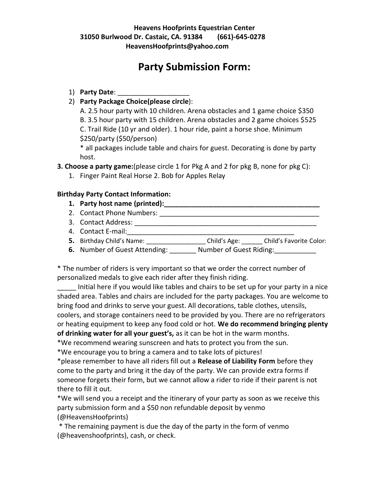## **Party Submission Form:**

- 1) **Party Date**: \_\_\_\_\_\_\_\_\_\_\_\_\_\_\_\_\_\_\_
- 2) **Party Package Choice(please circle**):

A. 2.5 hour party with 10 children. Arena obstacles and 1 game choice \$350 B. 3.5 hour party with 15 children. Arena obstacles and 2 game choices \$525 C. Trail Ride (10 yr and older). 1 hour ride, paint a horse shoe. Minimum \$250/party (\$50/person)

\* all packages include table and chairs for guest. Decorating is done by party host.

**3. Choose a party game:**(please circle 1 for Pkg A and 2 for pkg B, none for pkg C):

1. Finger Paint Real Horse 2. Bob for Apples Relay

## **Birthday Party Contact Information:**

- **1. Party host name (printed):\_\_\_\_\_\_\_\_\_\_\_\_\_\_\_\_\_\_\_\_\_\_\_\_\_\_\_\_\_\_\_\_\_\_\_\_\_\_\_\_\_**
- 2. Contact Phone Numbers: \_\_\_\_\_\_\_\_\_\_\_\_\_\_\_\_\_\_\_\_\_\_\_\_\_\_\_\_\_\_\_\_\_\_\_\_\_\_\_\_\_\_
- 3. Contact Address: \_\_\_\_\_\_\_\_\_\_\_\_\_\_\_\_\_\_\_\_\_\_\_\_\_\_\_\_\_\_\_\_\_\_\_\_\_\_\_\_\_\_\_\_\_\_\_\_
- 4. Contact E-mail:\_\_\_\_\_\_\_\_\_\_\_\_\_\_\_\_\_\_\_\_\_\_\_\_\_\_\_\_\_\_\_\_\_\_\_\_\_\_\_\_\_\_\_\_
- **5.** Birthday Child's Name: \_\_\_\_\_\_\_\_\_\_\_\_\_\_\_\_\_ Child's Age: \_\_\_\_\_\_ Child's Favorite Color:
- **6.** Number of Guest Attending: \_\_\_\_\_\_\_ Number of Guest Riding: \_\_\_\_\_\_\_\_\_\_

\* The number of riders is very important so that we order the correct number of personalized medals to give each rider after they finish riding.

\_\_\_\_\_ Initial here if you would like tables and chairs to be set up for your party in a nice shaded area. Tables and chairs are included for the party packages. You are welcome to bring food and drinks to serve your guest. All decorations, table clothes, utensils, coolers, and storage containers need to be provided by you. There are no refrigerators or heating equipment to keep any food cold or hot. **We do recommend bringing plenty of drinking water for all your guest's,** as it can be hot in the warm months.

\*We recommend wearing sunscreen and hats to protect you from the sun.

\*We encourage you to bring a camera and to take lots of pictures!

\*please remember to have all riders fill out a **Release of Liability Form** before they come to the party and bring it the day of the party. We can provide extra forms if someone forgets their form, but we cannot allow a rider to ride if their parent is not there to fill it out.

\*We will send you a receipt and the itinerary of your party as soon as we receive this party submission form and a \$50 non refundable deposit by venmo (@HeavensHoofprints)

\* The remaining payment is due the day of the party in the form of venmo (@heavenshoofprints), cash, or check.